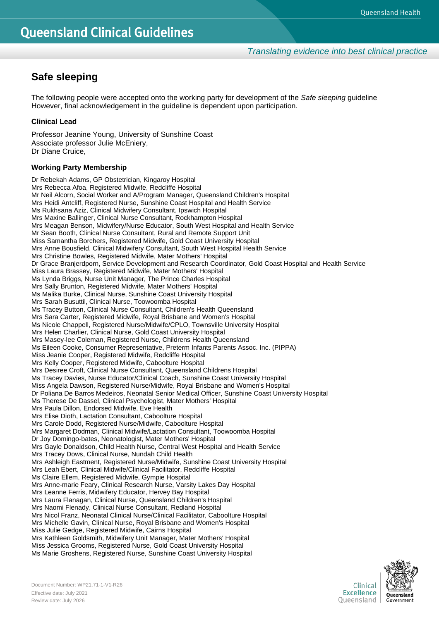## **Safe sleeping**

The following people were accepted onto the working party for development of the *Safe sleeping* guideline However, final acknowledgement in the guideline is dependent upon participation.

## **Clinical Lead**

Professor Jeanine Young, University of Sunshine Coast Associate professor Julie McEniery, Dr Diane Cruice,

## **Working Party Membership**

Dr Rebekah Adams, GP Obstetrician, Kingaroy Hospital Mrs Rebecca Afoa, Registered Midwife, Redcliffe Hospital Mr Neil Alcorn, Social Worker and A/Program Manager, Queensland Children's Hospital Mrs Heidi Antcliff, Registered Nurse, Sunshine Coast Hospital and Health Service Ms Rukhsana Aziz, Clinical Midwifery Consultant, Ipswich Hospital Mrs Maxine Ballinger, Clinical Nurse Consultant, Rockhampton Hospital Mrs Meagan Benson, Midwifery/Nurse Educator, South West Hospital and Health Service Mr Sean Booth, Clinical Nurse Consultant, Rural and Remote Support Unit Miss Samantha Borchers, Registered Midwife, Gold Coast University Hospital Mrs Anne Bousfield, Clinical Midwifery Consultant, South West Hospital Health Service Mrs Christine Bowles, Registered Midwife, Mater Mothers' Hospital Dr Grace Branjerdporn, Service Development and Research Coordinator, Gold Coast Hospital and Health Service Miss Laura Brassey, Registered Midwife, Mater Mothers' Hospital Ms Lynda Briggs, Nurse Unit Manager, The Prince Charles Hospital Mrs Sally Brunton, Registered Midwife, Mater Mothers' Hospital Ms Malika Burke, Clinical Nurse, Sunshine Coast University Hospital Mrs Sarah Busuttil, Clinical Nurse, Toowoomba Hospital Ms Tracey Button, Clinical Nurse Consultant, Children's Health Queensland Mrs Sara Carter, Registered Midwife, Royal Brisbane and Women's Hospital Ms Nicole Chappell, Registered Nurse/Midwife/CPLO, Townsville University Hospital Mrs Helen Charlier, Clinical Nurse, Gold Coast University Hospital Mrs Masey-lee Coleman, Registered Nurse, Childrens Health Queensland Ms Eileen Cooke, Consumer Representative, Preterm Infants Parents Assoc. Inc. (PIPPA) Miss Jeanie Cooper, Registered Midwife, Redcliffe Hospital Mrs Kelly Cooper, Registered Midwife, Caboolture Hospital Mrs Desiree Croft, Clinical Nurse Consultant, Queensland Childrens Hospital Ms Tracey Davies, Nurse Educator/Clinical Coach, Sunshine Coast University Hospital Miss Angela Dawson, Registered Nurse/Midwife, Royal Brisbane and Women's Hospital Dr Poliana De Barros Medeiros, Neonatal Senior Medical Officer, Sunshine Coast University Hospital Ms Therese De Dassel, Clinical Psychologist, Mater Mothers' Hospital Mrs Paula Dillon, Endorsed Midwife, Eve Health Mrs Elise Dioth, Lactation Consultant, Caboolture Hospital Mrs Carole Dodd, Registered Nurse/Midwife, Caboolture Hospital Mrs Margaret Dodman, Clinical Midwife/Lactation Consultant, Toowoomba Hospital Dr Joy Domingo-bates, Neonatologist, Mater Mothers' Hospital Mrs Gayle Donaldson, Child Health Nurse, Central West Hospital and Health Service Mrs Tracey Dows, Clinical Nurse, Nundah Child Health Mrs Ashleigh Eastment, Registered Nurse/Midwife, Sunshine Coast University Hospital Mrs Leah Ebert, Clinical Midwife/Clinical Facilitator, Redcliffe Hospital Ms Claire Ellem, Registered Midwife, Gympie Hospital Mrs Anne-marie Feary, Clinical Research Nurse, Varsity Lakes Day Hospital Mrs Leanne Ferris, Midwifery Educator, Hervey Bay Hospital Mrs Laura Flanagan, Clinical Nurse, Queensland Children's Hospital Mrs Naomi Flenady, Clinical Nurse Consultant, Redland Hospital Mrs Nicol Franz, Neonatal Clinical Nurse/Clinical Facilitator, Caboolture Hospital Mrs Michelle Gavin, Clinical Nurse, Royal Brisbane and Women's Hospital Miss Julie Gedge, Registered Midwife, Cairns Hospital Mrs Kathleen Goldsmith, Midwifery Unit Manager, Mater Mothers' Hospital Miss Jessica Grooms, Registered Nurse, Gold Coast University Hospital Ms Marie Groshens, Registered Nurse, Sunshine Coast University Hospital

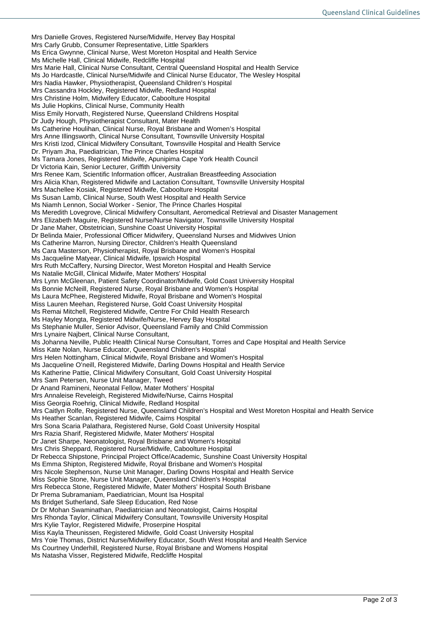Mrs Danielle Groves, Registered Nurse/Midwife, Hervey Bay Hospital Mrs Carly Grubb, Consumer Representative, Little Sparklers Ms Erica Gwynne, Clinical Nurse, West Moreton Hospital and Health Service Ms Michelle Hall, Clinical Midwife, Redcliffe Hospital Mrs Marie Hall, Clinical Nurse Consultant, Central Queensland Hospital and Health Service Ms Jo Hardcastle, Clinical Nurse/Midwife and Clinical Nurse Educator, The Wesley Hospital Mrs Nadia Hawker, Physiotherapist, Queensland Children's Hospital Mrs Cassandra Hockley, Registered Midwife, Redland Hospital Mrs Christine Holm, Midwifery Educator, Caboolture Hospital Ms Julie Hopkins, Clinical Nurse, Community Health Miss Emily Horvath, Registered Nurse, Queensland Childrens Hospital Dr Judy Hough, Physiotherapist Consultant, Mater Health Ms Catherine Houlihan, Clinical Nurse, Royal Brisbane and Women's Hospital Mrs Anne Illingsworth, Clinical Nurse Consultant, Townsville University Hospital Mrs Kristi Izod, Clinical Midwifery Consultant, Townsville Hospital and Health Service Dr. Priyam Jha, Paediatrician, The Prince Charles Hospital Ms Tamara Jones, Registered Midwife, Apunipima Cape York Health Council Dr Victoria Kain, Senior Lecturer, Griffith University Mrs Renee Kam, Scientific Information officer, Australian Breastfeeding Association Mrs Alicia Khan, Registered Midwife and Lactation Consultant, Townsville University Hospital Mrs Machellee Kosiak, Registered Midwife, Caboolture Hospital Ms Susan Lamb, Clinical Nurse, South West Hospital and Health Service Ms Niamh Lennon, Social Worker - Senior, The Prince Charles Hospital Ms Meredith Lovegrove, Clinical Midwifery Consultant, Aeromedical Retrieval and Disaster Management Mrs Elizabeth Maguire, Registered Nurse/Nurse Navigator, Townsville University Hospital Dr Jane Maher, Obstetrician, Sunshine Coast University Hospital Dr Belinda Maier, Professional Officer Midwifery, Queensland Nurses and Midwives Union Ms Catherine Marron, Nursing Director, Children's Health Queensland Ms Cara Masterson, Physiotherapist, Royal Brisbane and Women's Hospital Ms Jacqueline Matyear, Clinical Midwife, Ipswich Hospital Mrs Ruth McCaffery, Nursing Director, West Moreton Hospital and Health Service Ms Natalie McGill, Clinical Midwife, Mater Mothers' Hospital Mrs Lynn McGleenan, Patient Safety Coordinator/Midwife, Gold Coast University Hospital Ms Bonnie McNeill, Registered Nurse, Royal Brisbane and Women's Hospital Ms Laura McPhee, Registered Midwife, Royal Brisbane and Women's Hospital Miss Lauren Meehan, Registered Nurse, Gold Coast University Hospital Ms Remai Mitchell, Registered Midwife, Centre For Child Health Research Ms Hayley Mongta, Registered Midwife/Nurse, Hervey Bay Hospital Ms Stephanie Muller, Senior Advisor, Queensland Family and Child Commission Mrs Lynaire Najbert, Clinical Nurse Consultant, Ms Johanna Neville, Public Health Clinical Nurse Consultant, Torres and Cape Hospital and Health Service Miss Kate Nolan, Nurse Educator, Queensland Children's Hospital Mrs Helen Nottingham, Clinical Midwife, Royal Brisbane and Women's Hospital Ms Jacqueline O'neill, Registered Midwife, Darling Downs Hospital and Health Service Ms Katherine Pattie, Clinical Midwifery Consultant, Gold Coast University Hospital Mrs Sam Petersen, Nurse Unit Manager, Tweed Dr Anand Ramineni, Neonatal Fellow, Mater Mothers' Hospital Mrs Annaleise Reveleigh, Registered Midwife/Nurse, Cairns Hospital Miss Georgia Roehrig, Clinical Midwife, Redland Hospital Mrs Caitlyn Rolfe, Registered Nurse, Queensland Children's Hospital and West Moreton Hospital and Health Service Ms Heather Scanlan, Registered Midwife, Cairns Hospital Mrs Sona Scaria Palathara, Registered Nurse, Gold Coast University Hospital Mrs Razia Sharif, Registered Midwife, Mater Mothers' Hospital Dr Janet Sharpe, Neonatologist, Royal Brisbane and Women's Hospital Mrs Chris Sheppard, Registered Nurse/Midwife, Caboolture Hospital Dr Rebecca Shipstone, Principal Project Office/Academic, Sunshine Coast University Hospital Ms Emma Shipton, Registered Midwife, Royal Brisbane and Women's Hospital Mrs Nicole Stephenson, Nurse Unit Manager, Darling Downs Hospital and Health Service Miss Sophie Stone, Nurse Unit Manager, Queensland Children's Hospital Mrs Rebecca Stone, Registered Midwife, Mater Mothers' Hospital South Brisbane Dr Prema Subramaniam, Paediatrician, Mount Isa Hospital Ms Bridget Sutherland, Safe Sleep Education, Red Nose Dr Dr Mohan Swaminathan, Paediatrician and Neonatologist, Cairns Hospital Mrs Rhonda Taylor, Clinical Midwifery Consultant, Townsville University Hospital Mrs Kylie Taylor, Registered Midwife, Proserpine Hospital Miss Kayla Theunissen, Registered Midwife, Gold Coast University Hospital Mrs Yoie Thomas, District Nurse/Midwifery Educator, South West Hospital and Health Service Ms Courtney Underhill, Registered Nurse, Royal Brisbane and Womens Hospital Ms Natasha Visser, Registered Midwife, Redcliffe Hospital